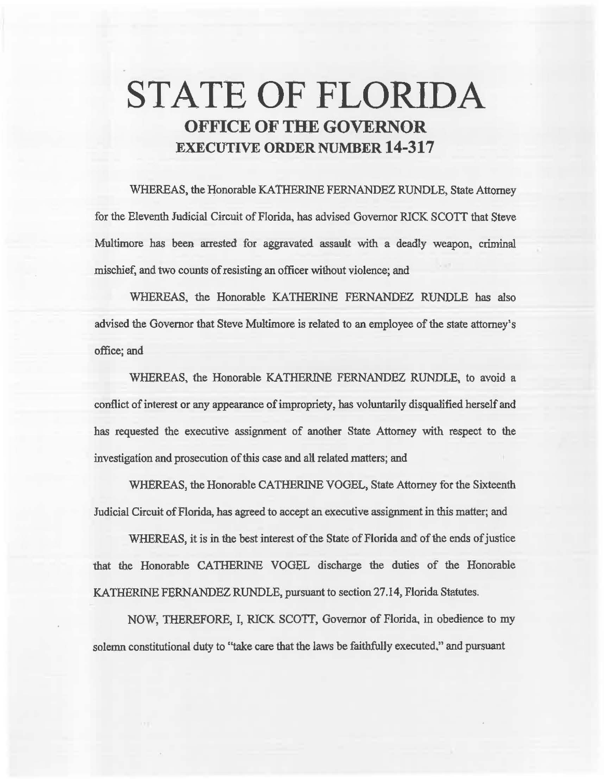# STATE OF FLORIDA OFFICE OF THE GOVERNOR EXECUTIVE ORDER NUMBER 14-317

"WHEREAS, the Honorable KATHERINE FERNANDEZ RUNDLE, State Attorney for the Eleventh Judicial Circuit of Florida, has advised Governor RJCK SCOTT that Steve Multimore has been arrested for aggravated assault with a deadly weapon. criminal mischief, and two counts of resisting an officer without violence; and

WHEREAS, the Honorable KATHERINE FERNANDEZ RUNDLE has also advised the Governor that Steve Multimore is related to an employee of the state attorney's office; and

WHEREAS, the Honorable KATHERINE FERNANDEZ RUNDLE, to avoid a conflict of interest or any appearance of impropriety, bas voluntarily disqualified herself and has requested the executive assignment of another State Attorney with respect to the investigation and prosecution of this case and ali related matters; and

WHEREAS, the Honorable CATHERINE VOGEL, State Attorney for the Sixteenth Judicial Circuit of Florida, has agreed to accept an executive assignment in this matter; and

WHEREAS, it is in the best interest of the State of Florida and of the ends of justice that the Honorable CATHERINE VOGEL discharge the duties of the Honorable KA THERINE FERNANDEZ RUNDLE, pursuant to section 27.14, Florida Statutes.

NOW, THEREFORE, I, RICK SCOTT, Governor of Florida, in obedience to my solemn constitutional duty to "take care that the laws be faithfully executed." and pursuant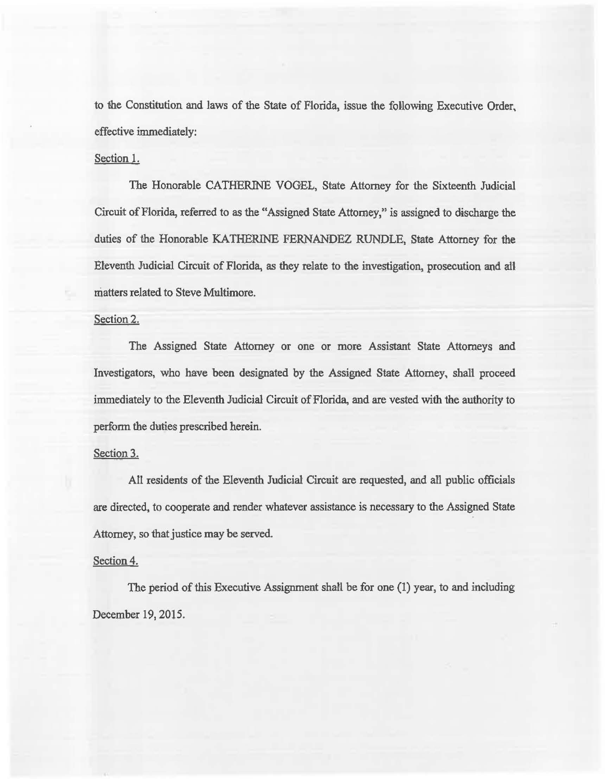to the Constitution and laws of the State of Florida, issue the following Executive Order, effective immediately:

## Section 1.

The Honorable CATHERINE VOGEL, State Attorney for the Sixteenth Judicial Circuit of Florida, referred to as the "Assigned State Attorney/' is assigned to discharge the duties of the Honorable KATHERINE FERNANDEZ RUNDLE, State Attorney for the Eleventh Judicial Circuit of Florida, as they relate to the investigation, prosecution and al'l matters related to Steve Multimore.

### Section 2.

The Assigned State Attorney or one or more Assistant State Attorneys and Investigators, who have been designated by the Assigned State Attorney, shall proceed immediately to the Eleventh Judicial Circuit of Florida, and are vested with the authority to perform the duties prescribed herein.

# Section 3.

AU residents of the Eleventh Judicial Circuit are requested, and all public officials are directed, to cooperate and render whatever assistance is necessary to the Assigned State Attorney, so that justice may be served.

#### Section 4.

The period of this Executive Assignment shall be for one (1) year, to and including December 19, 2015.